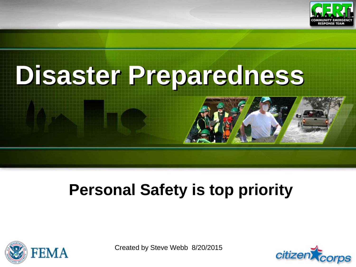

# **Disaster Preparedness**

### **Personal Safety is top priority**



Created by Steve Webb 8/20/2015

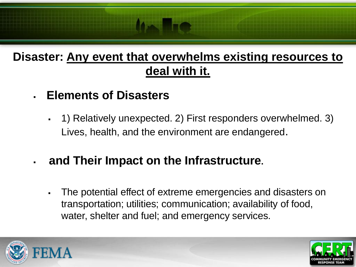#### **Disaster: Any event that overwhelms existing resources to deal with it.**

- **Elements of Disasters**
	- 1) Relatively unexpected. 2) First responders overwhelmed. 3) Lives, health, and the environment are endangered.
- **and Their Impact on the Infrastructure.**
	- The potential effect of extreme emergencies and disasters on transportation; utilities; communication; availability of food, water, shelter and fuel; and emergency services.



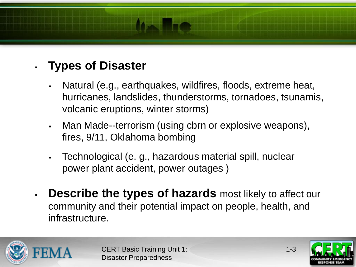#### **Types of Disaster**

- Natural (e.g., earthquakes, wildfires, floods, extreme heat, hurricanes, landslides, thunderstorms, tornadoes, tsunamis, volcanic eruptions, winter storms)
- Man Made--terrorism (using cbrn or explosive weapons), fires, 9/11, Oklahoma bombing
- Technological (e. g., hazardous material spill, nuclear power plant accident, power outages )
- **Describe the types of hazards** most likely to affect our community and their potential impact on people, health, and infrastructure.





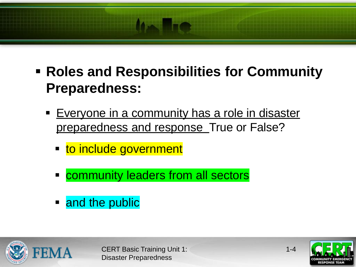- **Roles and Responsibilities for Community Preparedness:** 
	- **Everyone in a community has a role in disaster** preparedness and response True or False?
		- **to include government**
		- community leaders from all sectors
		- and the public



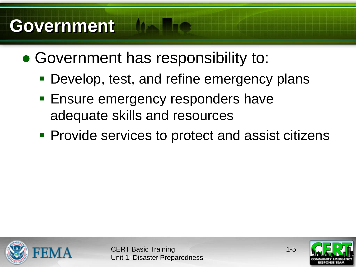### **Government**

- Government has responsibility to:
	- Develop, test, and refine emergency plans
	- **Ensure emergency responders have** adequate skills and resources
	- **Provide services to protect and assist citizens**



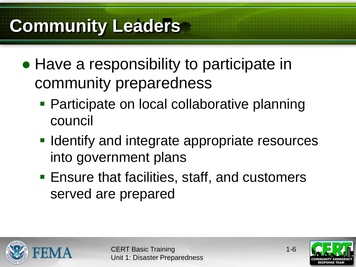### **Community Leaders**

- Have a responsibility to participate in community preparedness
	- Participate on local collaborative planning council
	- **IDENTIFY** and integrate appropriate resources into government plans
	- Ensure that facilities, staff, and customers served are prepared



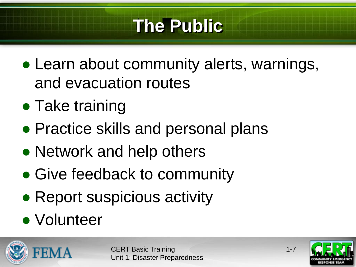### **The Public**

- Learn about community alerts, warnings, and evacuation routes
- Take training
- Practice skills and personal plans
- Network and help others
- Give feedback to community
- Report suspicious activity
- Volunteer



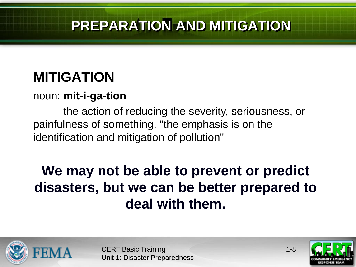#### **PREPARATION AND MITIGATION**

#### **MITIGATION**

#### noun: **mit-i-ga-tion**

the action of reducing the severity, seriousness, or painfulness of something. "the emphasis is on the identification and mitigation of pollution"

#### **We may not be able to prevent or predict disasters, but we can be better prepared to deal with them.**





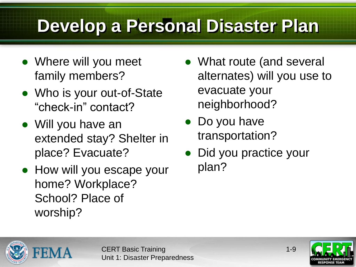## **Develop a Personal Disaster Plan**

- Where will you meet family members?
- Who is your out-of-State "check-in" contact?
- Will you have an extended stay? Shelter in place? Evacuate?
- How will you escape your home? Workplace? School? Place of worship?
- What route (and several alternates) will you use to evacuate your neighborhood?
- Do you have transportation?
- Did you practice your plan?



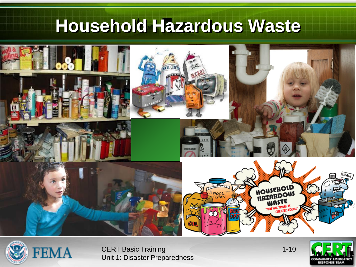### **Household Hazardous Waste**





CERT Basic Training Unit 1: Disaster Preparedness 1-10

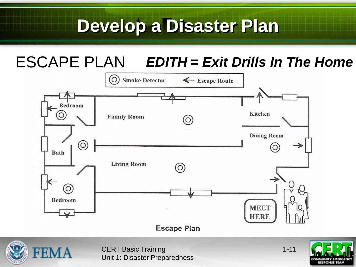#### ESCAPE PLAN *EDITH = Exit Drills In The Home*





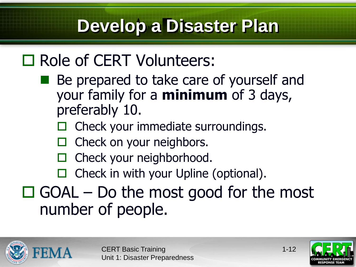### □ Role of CERT Volunteers:

- Be prepared to take care of yourself and your family for a **minimum** of 3 days, preferably 10.
	- Check your immediate surroundings.
	- $\Box$  Check on your neighbors.
	- $\Box$  Check your neighborhood.
	- $\Box$  Check in with your Upline (optional).

### $\Box$  GOAL – Do the most good for the most number of people.





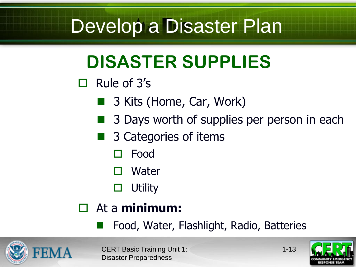### **DISASTER SUPPLIES**

 $\Box$  Rule of 3's

- 3 Kits (Home, Car, Work)
- 3 Days worth of supplies per person in each
- 3 Categories of items
	- Food
	- Water
	- $\Box$  Utility

#### At a **minimum:**

Food, Water, Flashlight, Radio, Batteries





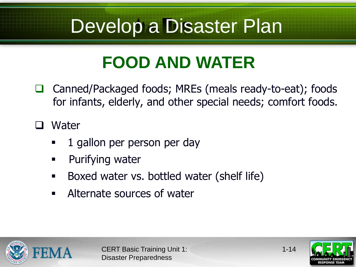### **FOOD AND WATER**

□ Canned/Packaged foods; MREs (meals ready-to-eat); foods for infants, elderly, and other special needs; comfort foods.

□ Water

- 1 gallon per person per day
- **Purifying water**
- Boxed water vs. bottled water (shelf life)
- Alternate sources of water





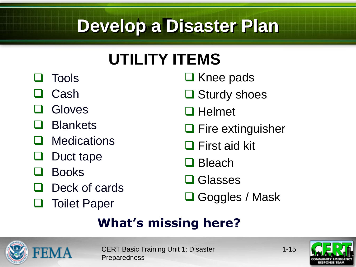### **UTILITY ITEMS**

- **O** Tools
- Cash
- Gloves
- **Blankets**
- **Q** Medications
- Duct tape
- Books
- Deck of cards
- **Q** Toilet Paper
- $\Box$  Knee pads
- **□** Sturdy shoes
- $\Box$  Helmet
- $\Box$  Fire extinguisher
- **□ First aid kit**
- □ Bleach
- **□ Glasses**
- Goggles / Mask

#### **What's missing here?**